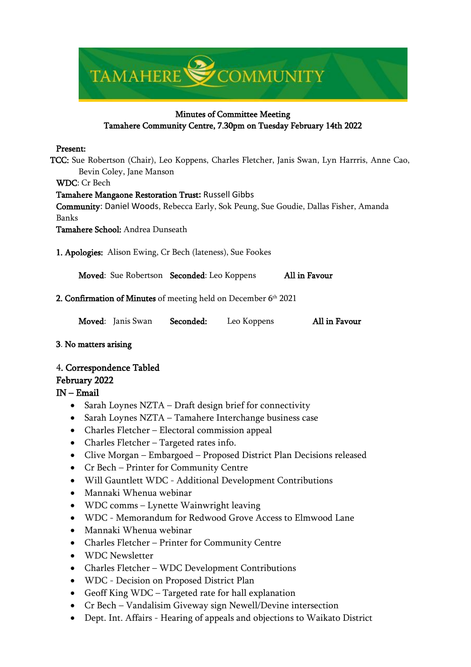

# Minutes of Committee Meeting Tamahere Community Centre, 7.30pm on Tuesday February 14th 2022

#### Present:

TCC: Sue Robertson (Chair), Leo Koppens, Charles Fletcher, Janis Swan, Lyn Harrris, Anne Cao, Bevin Coley, Jane Manson

WDC: Cr Bech

#### Tamahere Mangaone Restoration Trust**:** Russell Gibbs

Community: Daniel Woods, Rebecca Early, Sok Peung, Sue Goudie, Dallas Fisher, Amanda Banks

Tamahere School: Andrea Dunseath

1. Apologies: Alison Ewing, Cr Bech (lateness), Sue Fookes

Moved: Sue Robertson Seconded: Leo Koppens All in Favour

# 2. Confirmation of Minutes of meeting held on December 6th 2021

|  | Moved: Janis Swan | Seconded: | Leo Koppens | All in Favour |
|--|-------------------|-----------|-------------|---------------|
|  |                   |           |             |               |

# 3. No matters arising

# 4. Correspondence Tabled

# February 2022

# IN – Email

- Sarah Loynes NZTA Draft design brief for connectivity
- Sarah Loynes NZTA Tamahere Interchange business case
- Charles Fletcher Electoral commission appeal
- Charles Fletcher Targeted rates info.
- Clive Morgan Embargoed Proposed District Plan Decisions released
- Cr Bech Printer for Community Centre
- Will Gauntlett WDC Additional Development Contributions
- Mannaki Whenua webinar
- WDC comms Lynette Wainwright leaving
- WDC Memorandum for Redwood Grove Access to Elmwood Lane
- Mannaki Whenua webinar
- Charles Fletcher Printer for Community Centre
- WDC Newsletter
- Charles Fletcher WDC Development Contributions
- WDC Decision on Proposed District Plan
- Geoff King WDC Targeted rate for hall explanation
- Cr Bech Vandalisim Giveway sign Newell/Devine intersection
- Dept. Int. Affairs Hearing of appeals and objections to Waikato District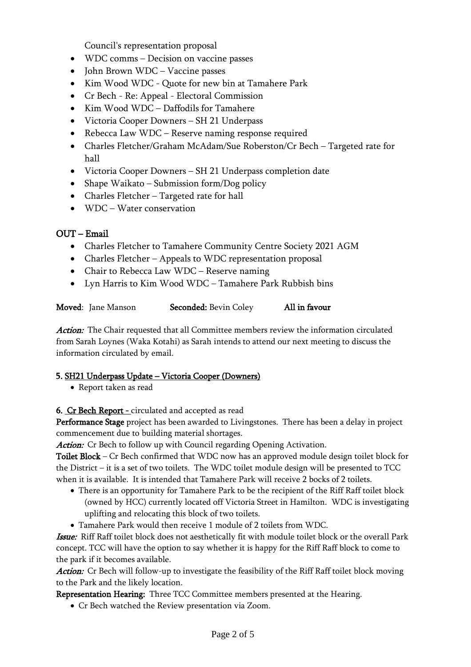Council's representation proposal

- WDC comms Decision on vaccine passes
- John Brown WDC Vaccine passes
- Kim Wood WDC Quote for new bin at Tamahere Park
- Cr Bech Re: Appeal Electoral Commission
- Kim Wood WDC Daffodils for Tamahere
- Victoria Cooper Downers SH 21 Underpass
- Rebecca Law WDC Reserve naming response required
- Charles Fletcher/Graham McAdam/Sue Roberston/Cr Bech Targeted rate for hall
- Victoria Cooper Downers SH 21 Underpass completion date
- Shape Waikato Submission form/Dog policy
- Charles Fletcher Targeted rate for hall
- WDC Water conservation

# OUT – Email

- Charles Fletcher to Tamahere Community Centre Society 2021 AGM
- Charles Fletcher Appeals to WDC representation proposal
- Chair to Rebecca Law WDC Reserve naming
- Lyn Harris to Kim Wood WDC Tamahere Park Rubbish bins

| Moved: Jane Manson | <b>Seconded: Bevin Coley</b> | All in favour |
|--------------------|------------------------------|---------------|
|                    |                              |               |

Action: The Chair requested that all Committee members review the information circulated from Sarah Loynes (Waka Kotahi) as Sarah intends to attend our next meeting to discuss the information circulated by email.

# 5. SH21 Underpass Update – Victoria Cooper (Downers)

• Report taken as read

6. Cr Bech Report - circulated and accepted as read

Performance Stage project has been awarded to Livingstones. There has been a delay in project commencement due to building material shortages.

Action: Cr Bech to follow up with Council regarding Opening Activation.

Toilet Block – Cr Bech confirmed that WDC now has an approved module design toilet block for the District – it is a set of two toilets. The WDC toilet module design will be presented to TCC when it is available. It is intended that Tamahere Park will receive 2 bocks of 2 toilets.

- There is an opportunity for Tamahere Park to be the recipient of the Riff Raff toilet block (owned by HCC) currently located off Victoria Street in Hamilton. WDC is investigating uplifting and relocating this block of two toilets.
- Tamahere Park would then receive 1 module of 2 toilets from WDC.

Issue: Riff Raff toilet block does not aesthetically fit with module toilet block or the overall Park concept. TCC will have the option to say whether it is happy for the Riff Raff block to come to the park if it becomes available.

Action: Cr Bech will follow-up to investigate the feasibility of the Riff Raff toilet block moving to the Park and the likely location.

Representation Hearing: Three TCC Committee members presented at the Hearing.

• Cr Bech watched the Review presentation via Zoom.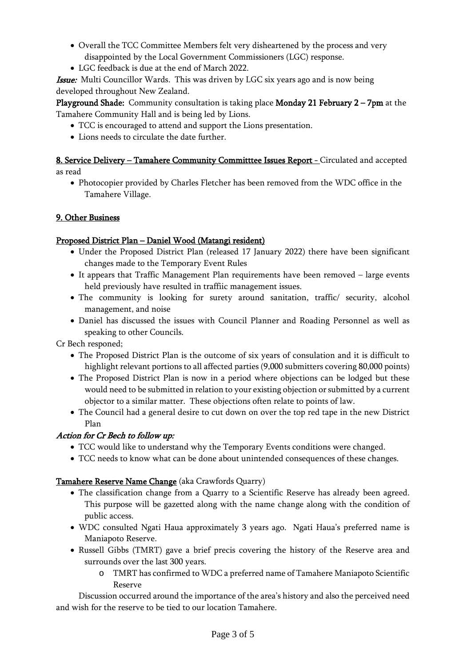- Overall the TCC Committee Members felt very disheartened by the process and very disappointed by the Local Government Commissioners (LGC) response.
- LGC feedback is due at the end of March 2022.

**Issue:** Multi Councillor Wards. This was driven by LGC six years ago and is now being developed throughout New Zealand.

Playground Shade: Community consultation is taking place Monday 21 February 2 – 7pm at the Tamahere Community Hall and is being led by Lions.

- TCC is encouraged to attend and support the Lions presentation.
- Lions needs to circulate the date further.

#### 8. Service Delivery - Tamahere Community Committtee Issues Report - Circulated and accepted as read

- - Photocopier provided by Charles Fletcher has been removed from the WDC office in the Tamahere Village.

# 9. Other Business

# Proposed District Plan – Daniel Wood (Matangi resident)

- Under the Proposed District Plan (released 17 January 2022) there have been significant changes made to the Temporary Event Rules
- It appears that Traffic Management Plan requirements have been removed large events held previously have resulted in traffiic management issues.
- The community is looking for surety around sanitation, traffic/ security, alcohol management, and noise
- Daniel has discussed the issues with Council Planner and Roading Personnel as well as speaking to other Councils.

Cr Bech responed;

- The Proposed District Plan is the outcome of six years of consulation and it is difficult to highlight relevant portions to all affected parties (9,000 submitters covering 80,000 points)
- The Proposed District Plan is now in a period where objections can be lodged but these would need to be submitted in relation to your existing objection or submitted by a current objector to a similar matter. These objections often relate to points of law.
- The Council had a general desire to cut down on over the top red tape in the new District Plan

# Action for Cr Bech to follow up:

- TCC would like to understand why the Temporary Events conditions were changed.
- TCC needs to know what can be done about unintended consequences of these changes.

# Tamahere Reserve Name Change (aka Crawfords Quarry)

- The classification change from a Quarry to a Scientific Reserve has already been agreed. This purpose will be gazetted along with the name change along with the condition of public access.
- WDC consulted Ngati Haua approximately 3 years ago. Ngati Haua's preferred name is Maniapoto Reserve.
- Russell Gibbs (TMRT) gave a brief precis covering the history of the Reserve area and surrounds over the last 300 years.
	- o TMRT has confirmed to WDC a preferred name of Tamahere Maniapoto Scientific Reserve

Discussion occurred around the importance of the area's history and also the perceived need and wish for the reserve to be tied to our location Tamahere.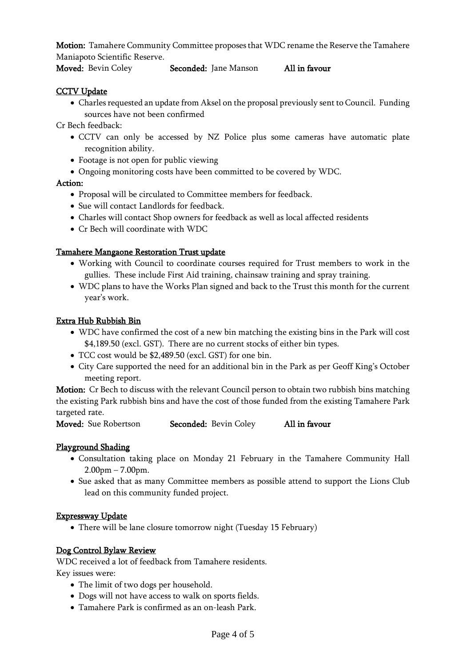Motion: Tamahere Community Committee proposes that WDC rename the Reserve the Tamahere Maniapoto Scientific Reserve.

### Moved: Bevin Coley Seconded: Jane Manson All in favour

#### **CCTV Update**

• Charles requested an update from Aksel on the proposal previously sent to Council. Funding sources have not been confirmed

Cr Bech feedback:

- CCTV can only be accessed by NZ Police plus some cameras have automatic plate recognition ability.
- Footage is not open for public viewing
- Ongoing monitoring costs have been committed to be covered by WDC.

#### Action:

- Proposal will be circulated to Committee members for feedback.
- Sue will contact Landlords for feedback.
- Charles will contact Shop owners for feedback as well as local affected residents
- Cr Bech will coordinate with WDC

### Tamahere Mangaone Restoration Trust update

- Working with Council to coordinate courses required for Trust members to work in the gullies. These include First Aid training, chainsaw training and spray training.
- WDC plans to have the Works Plan signed and back to the Trust this month for the current year's work.

#### Extra Hub Rubbish Bin

- WDC have confirmed the cost of a new bin matching the existing bins in the Park will cost \$4,189.50 (excl. GST). There are no current stocks of either bin types.
- TCC cost would be \$2,489.50 (excl. GST) for one bin.
- City Care supported the need for an additional bin in the Park as per Geoff King's October meeting report.

Motion: Cr Bech to discuss with the relevant Council person to obtain two rubbish bins matching the existing Park rubbish bins and have the cost of those funded from the existing Tamahere Park targeted rate.

Moved: Sue Robertson Seconded: Bevin Coley All in favour

#### Playground Shading

- Consultation taking place on Monday 21 February in the Tamahere Community Hall 2.00pm – 7.00pm.
- Sue asked that as many Committee members as possible attend to support the Lions Club lead on this community funded project.

#### Expressway Update

• There will be lane closure tomorrow night (Tuesday 15 February)

#### Dog Control Bylaw Review

WDC received a lot of feedback from Tamahere residents.

Key issues were:

- The limit of two dogs per household.
- Dogs will not have access to walk on sports fields.
- Tamahere Park is confirmed as an on-leash Park.